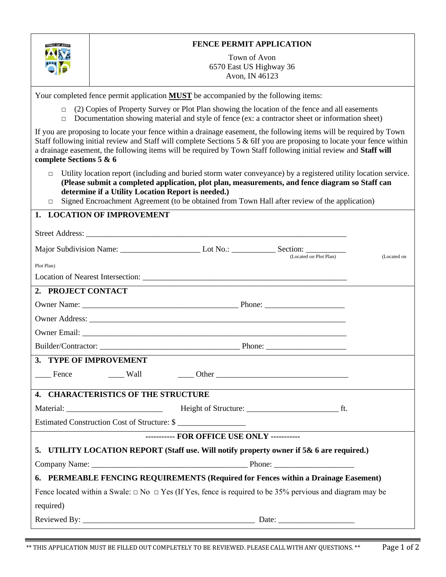| TOWN OF AVON            | <b>FENCE PERMIT APPLICATION</b>                                                                                                                                                                                                                                                                                                                                           |
|-------------------------|---------------------------------------------------------------------------------------------------------------------------------------------------------------------------------------------------------------------------------------------------------------------------------------------------------------------------------------------------------------------------|
|                         | Town of Avon<br>6570 East US Highway 36                                                                                                                                                                                                                                                                                                                                   |
|                         | Avon, IN 46123                                                                                                                                                                                                                                                                                                                                                            |
|                         | Your completed fence permit application <b>MUST</b> be accompanied by the following items:                                                                                                                                                                                                                                                                                |
| $\Box$<br>$\Box$        | (2) Copies of Property Survey or Plot Plan showing the location of the fence and all easements<br>Documentation showing material and style of fence (ex: a contractor sheet or information sheet)                                                                                                                                                                         |
| complete Sections 5 & 6 | If you are proposing to locate your fence within a drainage easement, the following items will be required by Town<br>Staff following initial review and Staff will complete Sections $5 \& 6$ If you are proposing to locate your fence within<br>a drainage easement, the following items will be required by Town Staff following initial review and Staff will        |
| $\Box$<br>$\Box$        | Utility location report (including and buried storm water conveyance) by a registered utility location service.<br>(Please submit a completed application, plot plan, measurements, and fence diagram so Staff can<br>determine if a Utility Location Report is needed.)<br>Signed Encroachment Agreement (to be obtained from Town Hall after review of the application) |
|                         | 1. LOCATION OF IMPROVEMENT                                                                                                                                                                                                                                                                                                                                                |
|                         |                                                                                                                                                                                                                                                                                                                                                                           |
|                         | (Located on Plot Plan)<br>(Located on                                                                                                                                                                                                                                                                                                                                     |
| Plot Plan)              |                                                                                                                                                                                                                                                                                                                                                                           |
|                         |                                                                                                                                                                                                                                                                                                                                                                           |
| 2. PROJECT CONTACT      |                                                                                                                                                                                                                                                                                                                                                                           |
|                         |                                                                                                                                                                                                                                                                                                                                                                           |
|                         |                                                                                                                                                                                                                                                                                                                                                                           |
|                         |                                                                                                                                                                                                                                                                                                                                                                           |
|                         |                                                                                                                                                                                                                                                                                                                                                                           |
|                         | 3. TYPE OF IMPROVEMENT                                                                                                                                                                                                                                                                                                                                                    |
| Fence                   | $\frac{1}{2}$ Wall<br>$\frac{1}{2}$ Other $\frac{1}{2}$ Other $\frac{1}{2}$ Other $\frac{1}{2}$ Other $\frac{1}{2}$ Other $\frac{1}{2}$ Other $\frac{1}{2}$ Other $\frac{1}{2}$ Other $\frac{1}{2}$ Other $\frac{1}{2}$ Other $\frac{1}{2}$ Other $\frac{1}{2}$ Other $\frac{1}{2}$ Other $\frac{1}{2}$ Oth                                                               |
|                         | 4. CHARACTERISTICS OF THE STRUCTURE                                                                                                                                                                                                                                                                                                                                       |
|                         |                                                                                                                                                                                                                                                                                                                                                                           |
|                         | Estimated Construction Cost of Structure: \$                                                                                                                                                                                                                                                                                                                              |
|                         | ----------- FOR OFFICE USE ONLY -----------                                                                                                                                                                                                                                                                                                                               |
|                         | 5. UTILITY LOCATION REPORT (Staff use. Will notify property owner if 5& 6 are required.)                                                                                                                                                                                                                                                                                  |
|                         |                                                                                                                                                                                                                                                                                                                                                                           |
|                         | 6. PERMEABLE FENCING REQUIREMENTS (Required for Fences within a Drainage Easement)                                                                                                                                                                                                                                                                                        |
|                         | Fence located within a Swale: $\Box$ No $\Box$ Yes (If Yes, fence is required to be 35% pervious and diagram may be                                                                                                                                                                                                                                                       |
| required)               |                                                                                                                                                                                                                                                                                                                                                                           |
|                         |                                                                                                                                                                                                                                                                                                                                                                           |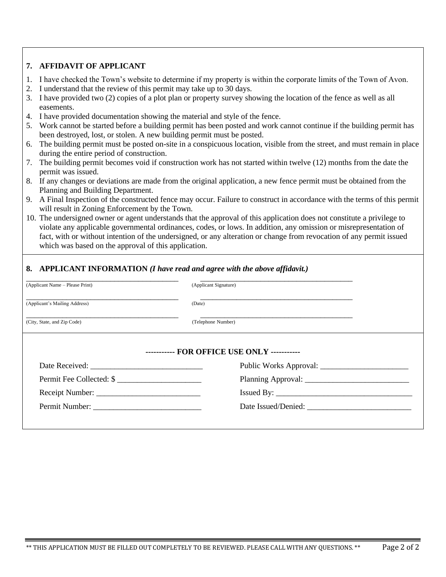# **7. AFFIDAVIT OF APPLICANT**

- 1. I have checked the Town's website to determine if my property is within the corporate limits of the Town of Avon.
- 2. I understand that the review of this permit may take up to 30 days.
- 3. I have provided two (2) copies of a plot plan or property survey showing the location of the fence as well as all easements.
- 4. I have provided documentation showing the material and style of the fence.
- 5. Work cannot be started before a building permit has been posted and work cannot continue if the building permit has been destroyed, lost, or stolen. A new building permit must be posted.
- 6. The building permit must be posted on-site in a conspicuous location, visible from the street, and must remain in place during the entire period of construction.
- 7. The building permit becomes void if construction work has not started within twelve (12) months from the date the permit was issued.
- 8. If any changes or deviations are made from the original application, a new fence permit must be obtained from the Planning and Building Department.
- 9. A Final Inspection of the constructed fence may occur. Failure to construct in accordance with the terms of this permit will result in Zoning Enforcement by the Town.
- 10. The undersigned owner or agent understands that the approval of this application does not constitute a privilege to violate any applicable governmental ordinances, codes, or lows. In addition, any omission or misrepresentation of fact, with or without intention of the undersigned, or any alteration or change from revocation of any permit issued which was based on the approval of this application.

| (Applicant Name – Please Print) | (Applicant Signature)                       |  |
|---------------------------------|---------------------------------------------|--|
| (Applicant's Mailing Address)   | (Date)                                      |  |
| (City, State, and Zip Code)     | (Telephone Number)                          |  |
|                                 | ----------- FOR OFFICE USE ONLY ----------- |  |
|                                 |                                             |  |
|                                 |                                             |  |
| Permit Fee Collected: \$        |                                             |  |
|                                 | Issued By:                                  |  |